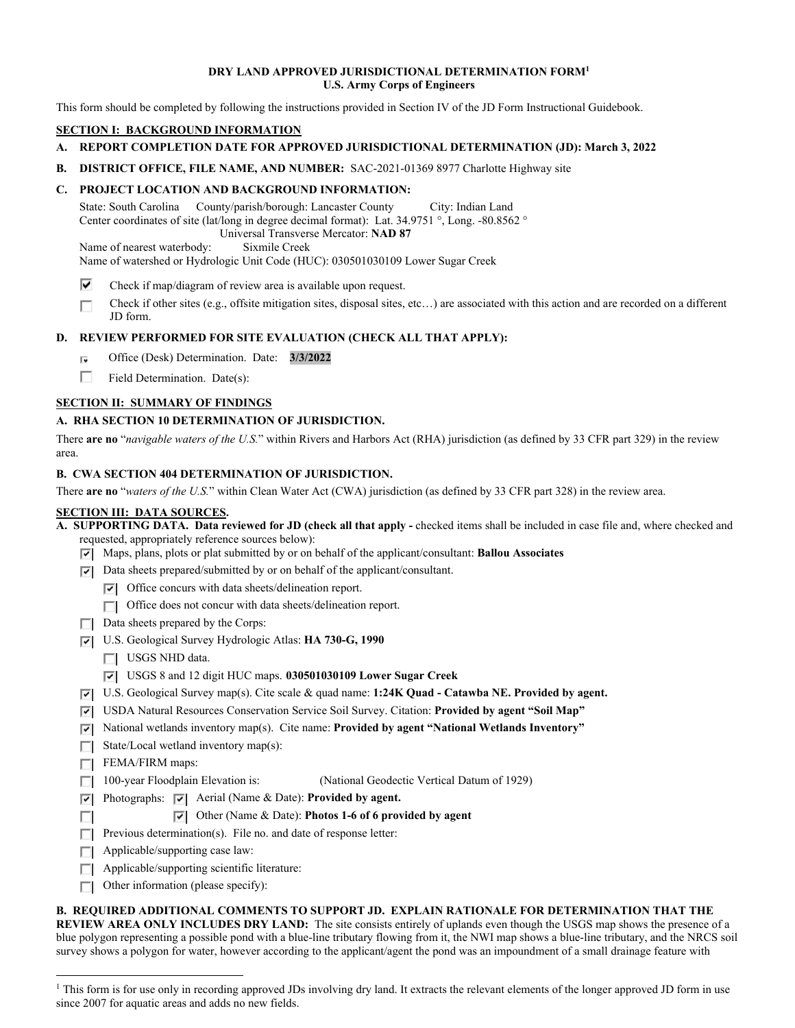#### **DRY LAND APPROVED JURISDICTIONAL DETERMINATION FORM1 U.S. Army Corps of Engineers**

This form should be completed by following the instructions provided in Section IV of the JD Form Instructional Guidebook.

# **SECTION I: BACKGROUND INFORMATION**

- **A. REPORT COMPLETION DATE FOR APPROVED JURISDICTIONAL DETERMINATION (JD): March 3, 2022**
- **B. DISTRICT OFFICE, FILE NAME, AND NUMBER:** SAC-2021-01369 8977 Charlotte Highway site

## **C. PROJECT LOCATION AND BACKGROUND INFORMATION:**

State: South Carolina County/parish/borough: Lancaster County City: Indian Land Center coordinates of site (lat/long in degree decimal format): Lat. 34.9751 °, Long. -80.8562 ° Universal Transverse Mercator: **NAD 87** 

Name of nearest waterbody: Sixmile Creek

Name of watershed or Hydrologic Unit Code (HUC): 030501030109 Lower Sugar Creek

 $\overline{\mathbf{v}}$ Check if map/diagram of review area is available upon request.

 Check if other sites (e.g., offsite mitigation sites, disposal sites, etc…) are associated with this action and are recorded on a different r JD form.

## **D. REVIEW PERFORMED FOR SITE EVALUATION (CHECK ALL THAT APPLY):**

- r. Office (Desk) Determination. Date: **3/3/2022**
- r Field Determination. Date(s):

## **SECTION II: SUMMARY OF FINDINGS**

## **A. RHA SECTION 10 DETERMINATION OF JURISDICTION.**

There **are no** "*navigable waters of the U.S.*" within Rivers and Harbors Act (RHA) jurisdiction (as defined by 33 CFR part 329) in the review area.

#### **B. CWA SECTION 404 DETERMINATION OF JURISDICTION.**

There **are no** "*waters of the U.S.*" within Clean Water Act (CWA) jurisdiction (as defined by 33 CFR part 328) in the review area.

#### **SECTION III: DATA SOURCES.**

 **A. SUPPORTING DATA. Data reviewed for JD (check all that apply -** checked items shall be included in case file and, where checked and requested, appropriately reference sources below):

- Fl Maps, plans, plots or plat submitted by or on behalf of the applicant/consultant: **Ballou Associates**
- Fl Data sheets prepared/submitted by or on behalf of the applicant/consultant.
	- Fl Office concurs with data sheets/delineation report.
	- □ Office does not concur with data sheets/delineation report.
- Data sheets prepared by the Corps:
- Fl U.S. Geological Survey Hydrologic Atlas: **HA 730-G, 1990** 
	- I USGS NHD data.
	- Fl USGS 8 and 12 digit HUC maps. **030501030109 Lower Sugar Creek**
- Fl U.S. Geological Survey map(s). Cite scale & quad name: **1:24K Quad Catawba NE. Provided by agent.**
- Fl USDA Natural Resources Conservation Service Soil Survey. Citation: **Provided by agent "Soil Map"**
- Fl National wetlands inventory map(s). Cite name: **Provided by agent "National Wetlands Inventory"**
- State/Local wetland inventory map(s):
- FEMA/FIRM maps:

n

- $\Box$  100-year Floodplain Elevation is: (National Geodectic Vertical Datum of 1929)
- **Fig. 2** Photographs: **Fig. 2** Aerial (Name & Date): **Provided by agent.** 
	- Fl Other (Name & Date): **Photos 1-6 of 6 provided by agent**
- **Previous determination(s).** File no. and date of response letter:
- $\Box$  Applicable/supporting case law:
- Applicable/supporting scientific literature:<br> **Other information (please specify):**
- $\Box$  Other information (please specify):

**B. REQUIRED ADDITIONAL COMMENTS TO SUPPORT JD. EXPLAIN RATIONALE FOR DETERMINATION THAT THE** 

**REVIEW AREA ONLY INCLUDES DRY LAND:** The site consists entirely of uplands even though the USGS map shows the presence of a blue polygon representing a possible pond with a blue-line tributary flowing from it, the NWI map shows a blue-line tributary, and the NRCS soil survey shows a polygon for water, however according to the applicant/agent the pond was an impoundment of a small drainage feature with

<sup>&</sup>lt;sup>1</sup> This form is for use only in recording approved JDs involving dry land. It extracts the relevant elements of the longer approved JD form in use since 2007 for aquatic areas and adds no new fields.